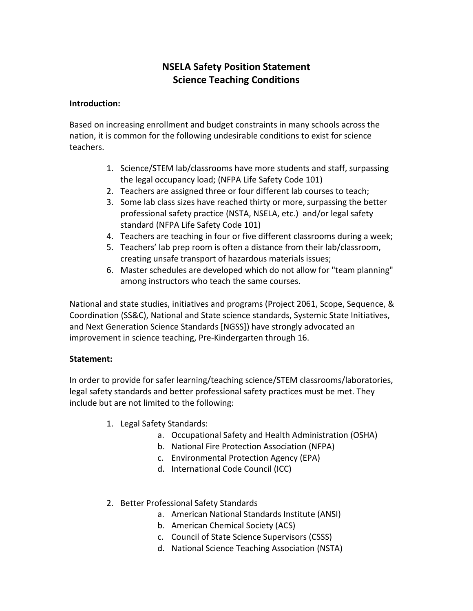# **NSELA Safety Position Statement Science Teaching Conditions**

#### **Introduction:**

Based on increasing enrollment and budget constraints in many schools across the nation, it is common for the following undesirable conditions to exist for science teachers.

- 1. Science/STEM lab/classrooms have more students and staff, surpassing the legal occupancy load; (NFPA Life Safety Code 101)
- 2. Teachers are assigned three or four different lab courses to teach;
- 3. Some lab class sizes have reached thirty or more, surpassing the better professional safety practice (NSTA, NSELA, etc.) and/or legal safety standard (NFPA Life Safety Code 101)
- 4. Teachers are teaching in four or five different classrooms during a week;
- 5. Teachers' lab prep room is often a distance from their lab/classroom, creating unsafe transport of hazardous materials issues;
- 6. Master schedules are developed which do not allow for "team planning" among instructors who teach the same courses.

National and state studies, initiatives and programs (Project 2061, Scope, Sequence, & Coordination (SS&C), National and State science standards, Systemic State Initiatives, and Next Generation Science Standards [NGSS]) have strongly advocated an improvement in science teaching, Pre-Kindergarten through 16.

### **Statement:**

In order to provide for safer learning/teaching science/STEM classrooms/laboratories, legal safety standards and better professional safety practices must be met. They include but are not limited to the following:

- 1. Legal Safety Standards:
	- a. Occupational Safety and Health Administration (OSHA)
	- b. National Fire Protection Association (NFPA)
	- c. Environmental Protection Agency (EPA)
	- d. International Code Council (ICC)
- 2. Better Professional Safety Standards
	- a. American National Standards Institute (ANSI)
	- b. American Chemical Society (ACS)
	- c. Council of State Science Supervisors (CSSS)
	- d. National Science Teaching Association (NSTA)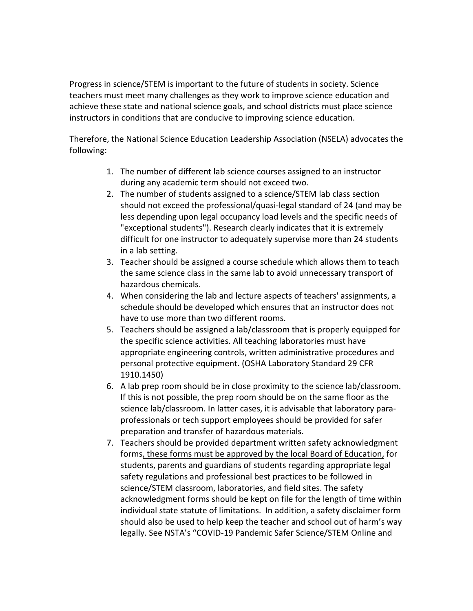Progress in science/STEM is important to the future of students in society. Science teachers must meet many challenges as they work to improve science education and achieve these state and national science goals, and school districts must place science instructors in conditions that are conducive to improving science education.

Therefore, the National Science Education Leadership Association (NSELA) advocates the following:

- 1. The number of different lab science courses assigned to an instructor during any academic term should not exceed two.
- 2. The number of students assigned to a science/STEM lab class section should not exceed the professional/quasi-legal standard of 24 (and may be less depending upon legal occupancy load levels and the specific needs of "exceptional students"). Research clearly indicates that it is extremely difficult for one instructor to adequately supervise more than 24 students in a lab setting.
- 3. Teacher should be assigned a course schedule which allows them to teach the same science class in the same lab to avoid unnecessary transport of hazardous chemicals.
- 4. When considering the lab and lecture aspects of teachers' assignments, a schedule should be developed which ensures that an instructor does not have to use more than two different rooms.
- 5. Teachers should be assigned a lab/classroom that is properly equipped for the specific science activities. All teaching laboratories must have appropriate engineering controls, written administrative procedures and personal protective equipment. (OSHA Laboratory Standard 29 CFR 1910.1450)
- 6. A lab prep room should be in close proximity to the science lab/classroom. If this is not possible, the prep room should be on the same floor as the science lab/classroom. In latter cases, it is advisable that laboratory paraprofessionals or tech support employees should be provided for safer preparation and transfer of hazardous materials.
- 7. Teachers should be provided department written safety acknowledgment forms, these forms must be approved by the local Board of Education, for students, parents and guardians of students regarding appropriate legal safety regulations and professional best practices to be followed in science/STEM classroom, laboratories, and field sites. The safety acknowledgment forms should be kept on file for the length of time within individual state statute of limitations. In addition, a safety disclaimer form should also be used to help keep the teacher and school out of harm's way legally. See NSTA's "COVID-19 Pandemic Safer Science/STEM Online and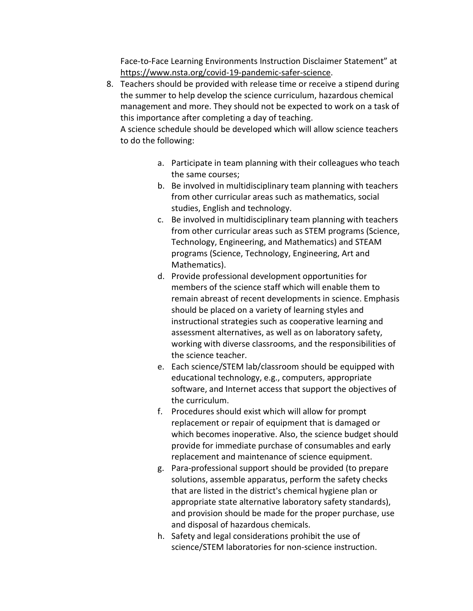Face-to-Face Learning Environments Instruction Disclaimer Statement" at [https://www.nsta.org/covid-19-pandemic-safer-science.](https://www.nsta.org/covid-19-pandemic-safer-science)

8. Teachers should be provided with release time or receive a stipend during the summer to help develop the science curriculum, hazardous chemical management and more. They should not be expected to work on a task of this importance after completing a day of teaching.

A science schedule should be developed which will allow science teachers to do the following:

- a. Participate in team planning with their colleagues who teach the same courses;
- b. Be involved in multidisciplinary team planning with teachers from other curricular areas such as mathematics, social studies, English and technology.
- c. Be involved in multidisciplinary team planning with teachers from other curricular areas such as STEM programs (Science, Technology, Engineering, and Mathematics) and STEAM programs (Science, Technology, Engineering, Art and Mathematics).
- d. Provide professional development opportunities for members of the science staff which will enable them to remain abreast of recent developments in science. Emphasis should be placed on a variety of learning styles and instructional strategies such as cooperative learning and assessment alternatives, as well as on laboratory safety, working with diverse classrooms, and the responsibilities of the science teacher.
- e. Each science/STEM lab/classroom should be equipped with educational technology, e.g., computers, appropriate software, and Internet access that support the objectives of the curriculum.
- f. Procedures should exist which will allow for prompt replacement or repair of equipment that is damaged or which becomes inoperative. Also, the science budget should provide for immediate purchase of consumables and early replacement and maintenance of science equipment.
- g. Para-professional support should be provided (to prepare solutions, assemble apparatus, perform the safety checks that are listed in the district's chemical hygiene plan or appropriate state alternative laboratory safety standards), and provision should be made for the proper purchase, use and disposal of hazardous chemicals.
- h. Safety and legal considerations prohibit the use of science/STEM laboratories for non-science instruction.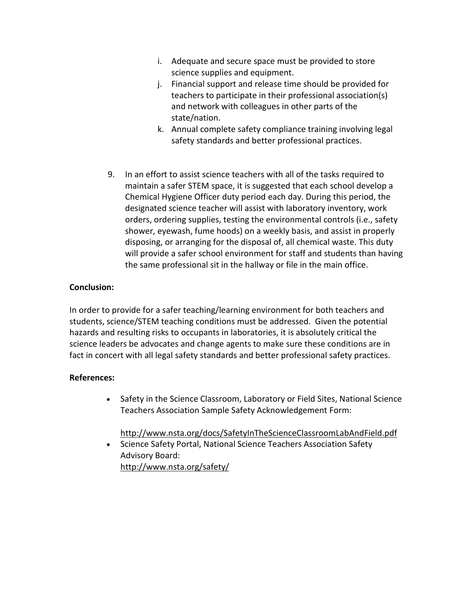- i. Adequate and secure space must be provided to store science supplies and equipment.
- j. Financial support and release time should be provided for teachers to participate in their professional association(s) and network with colleagues in other parts of the state/nation.
- k. Annual complete safety compliance training involving legal safety standards and better professional practices.
- 9. In an effort to assist science teachers with all of the tasks required to maintain a safer STEM space, it is suggested that each school develop a Chemical Hygiene Officer duty period each day. During this period, the designated science teacher will assist with laboratory inventory, work orders, ordering supplies, testing the environmental controls (i.e., safety shower, eyewash, fume hoods) on a weekly basis, and assist in properly disposing, or arranging for the disposal of, all chemical waste. This duty will provide a safer school environment for staff and students than having the same professional sit in the hallway or file in the main office.

## **Conclusion:**

In order to provide for a safer teaching/learning environment for both teachers and students, science/STEM teaching conditions must be addressed. Given the potential hazards and resulting risks to occupants in laboratories, it is absolutely critical the science leaders be advocates and change agents to make sure these conditions are in fact in concert with all legal safety standards and better professional safety practices.

### **References:**

• Safety in the Science Classroom, Laboratory or Field Sites, National Science Teachers Association Sample Safety Acknowledgement Form:

# <http://www.nsta.org/docs/SafetyInTheScienceClassroomLabAndField.pdf>

• Science Safety Portal, National Science Teachers Association Safety Advisory Board: <http://www.nsta.org/safety/>